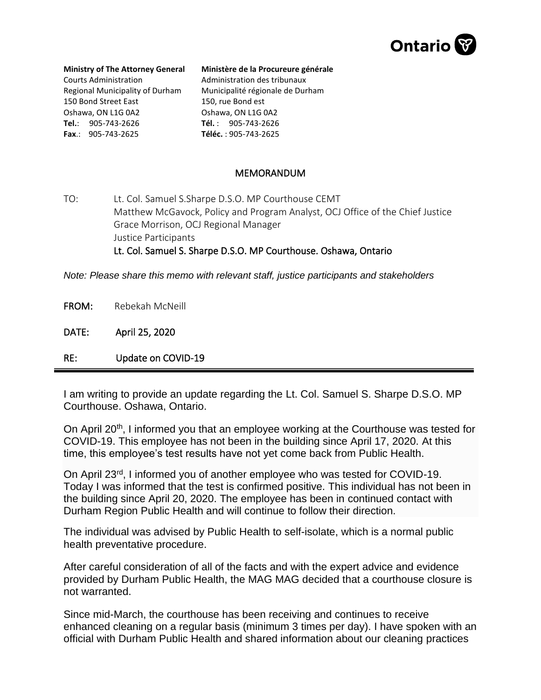

## **Ministry of The Attorney General**

Courts Administration Regional Municipality of Durham 150 Bond Street East Oshawa, ON L1G 0A2 **Tel.**: 905-743-2626 **Fax**.: 905-743-2625

## **Ministère de la Procureure générale**

Administration des tribunaux Municipalité régionale de Durham 150, rue Bond est Oshawa, ON L1G 0A2 **Tél.** : 905-743-2626 **Téléc.** : 905-743-2625

## MEMORANDUM

TO: Lt. Col. Samuel S.Sharpe D.S.O. MP Courthouse CEMT Matthew McGavock, Policy and Program Analyst, OCJ Office of the Chief Justice Grace Morrison, OCJ Regional Manager Justice Participants Lt. Col. Samuel S. Sharpe D.S.O. MP Courthouse. Oshawa, Ontario

*Note: Please share this memo with relevant staff, justice participants and stakeholders*

FROM: Rebekah McNeill

DATE: April 25, 2020

RE: Update on COVID-19

I am writing to provide an update regarding the Lt. Col. Samuel S. Sharpe D.S.O. MP Courthouse. Oshawa, Ontario.

On April 20<sup>th</sup>, I informed you that an employee working at the Courthouse was tested for COVID-19. This employee has not been in the building since April 17, 2020. At this time, this employee's test results have not yet come back from Public Health.

On April 23rd, I informed you of another employee who was tested for COVID-19. Today I was informed that the test is confirmed positive. This individual has not been in the building since April 20, 2020. The employee has been in continued contact with Durham Region Public Health and will continue to follow their direction.

The individual was advised by Public Health to self-isolate, which is a normal public health preventative procedure.

After careful consideration of all of the facts and with the expert advice and evidence provided by Durham Public Health, the MAG MAG decided that a courthouse closure is not warranted.

Since mid-March, the courthouse has been receiving and continues to receive enhanced cleaning on a regular basis (minimum 3 times per day). I have spoken with an official with Durham Public Health and shared information about our cleaning practices